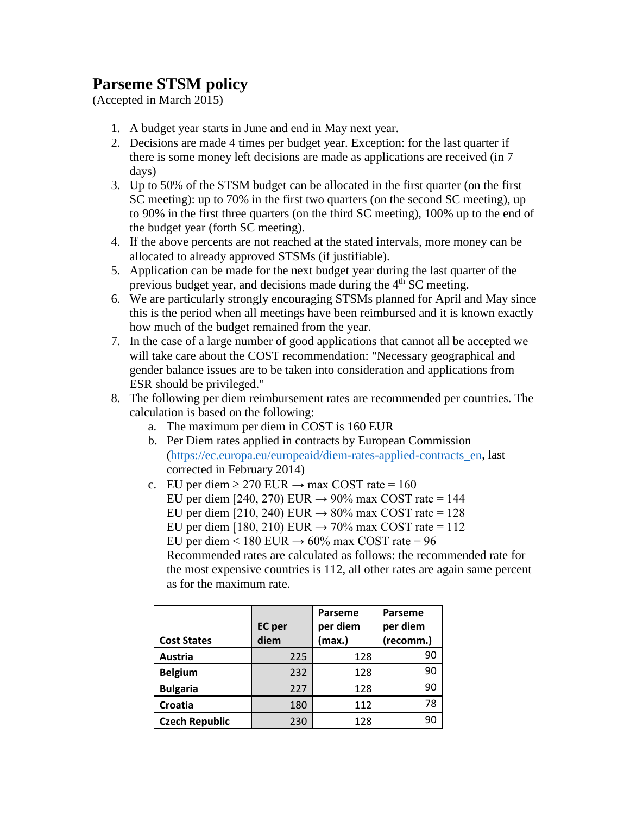## **Parseme STSM policy**

(Accepted in March 2015)

- 1. A budget year starts in June and end in May next year.
- 2. Decisions are made 4 times per budget year. Exception: for the last quarter if there is some money left decisions are made as applications are received (in 7 days)
- 3. Up to 50% of the STSM budget can be allocated in the first quarter (on the first SC meeting): up to 70% in the first two quarters (on the second SC meeting), up to 90% in the first three quarters (on the third SC meeting), 100% up to the end of the budget year (forth SC meeting).
- 4. If the above percents are not reached at the stated intervals, more money can be allocated to already approved STSMs (if justifiable).
- 5. Application can be made for the next budget year during the last quarter of the previous budget year, and decisions made during the 4<sup>th</sup> SC meeting.
- 6. We are particularly strongly encouraging STSMs planned for April and May since this is the period when all meetings have been reimbursed and it is known exactly how much of the budget remained from the year.
- 7. In the case of a large number of good applications that cannot all be accepted we will take care about the COST recommendation: "Necessary geographical and gender balance issues are to be taken into consideration and applications from ESR should be privileged."
- 8. The following per diem reimbursement rates are recommended per countries. The calculation is based on the following:
	- a. The maximum per diem in COST is 160 EUR
	- b. Per Diem rates applied in contracts by European Commission [\(https://ec.europa.eu/europeaid/diem-rates-applied-contracts\\_en,](https://ec.europa.eu/europeaid/diem-rates-applied-contracts_en) last corrected in February 2014)
	- c. EU per diem  $\geq$  270 EUR  $\rightarrow$  max COST rate = 160
		- EU per diem [240, 270) EUR  $\rightarrow$  90% max COST rate = 144
		- EU per diem [210, 240) EUR  $\rightarrow$  80% max COST rate = 128
		- EU per diem [180, 210) EUR  $\rightarrow$  70% max COST rate = 112
		- EU per diem < 180 EUR  $\rightarrow$  60% max COST rate = 96

Recommended rates are calculated as follows: the recommended rate for the most expensive countries is 112, all other rates are again same percent as for the maximum rate.

|                       |               | Parseme  | <b>Parseme</b> |
|-----------------------|---------------|----------|----------------|
|                       | <b>EC</b> per | per diem | per diem       |
| <b>Cost States</b>    | diem          | (max.)   | (recomm.)      |
| Austria               | 225           | 128      | 90             |
| <b>Belgium</b>        | 232           | 128      | 90             |
| <b>Bulgaria</b>       | 227           | 128      | 90             |
| Croatia               | 180           | 112      | 78             |
| <b>Czech Republic</b> | 230           | 128      | 90             |